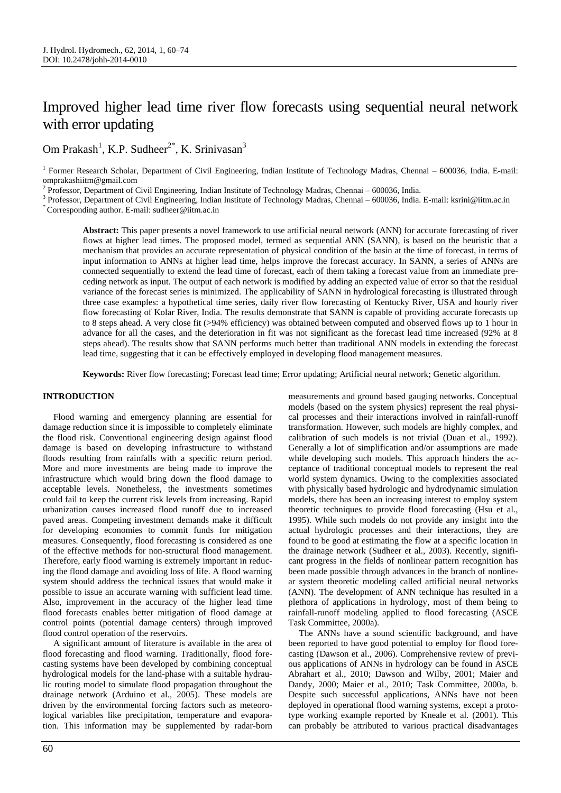# Improved higher lead time river flow forecasts using sequential neural network with error updating

Om Prakash<sup>1</sup>, K.P. Sudheer<sup>2\*</sup>, K. Srinivasan<sup>3</sup>

<sup>2</sup> Professor, Department of Civil Engineering, Indian Institute of Technology Madras, Chennai – 600036, India.

<sup>3</sup> Professor, Department of Civil Engineering, Indian Institute of Technology Madras, Chennai – 600036, India. E-mail: ksrini@iitm.ac.in

\* Corresponding author. E-mail: sudheer@iitm.ac.in

**Abstract:** This paper presents a novel framework to use artificial neural network (ANN) for accurate forecasting of river flows at higher lead times. The proposed model, termed as sequential ANN (SANN), is based on the heuristic that a mechanism that provides an accurate representation of physical condition of the basin at the time of forecast, in terms of input information to ANNs at higher lead time, helps improve the forecast accuracy. In SANN, a series of ANNs are connected sequentially to extend the lead time of forecast, each of them taking a forecast value from an immediate preceding network as input. The output of each network is modified by adding an expected value of error so that the residual variance of the forecast series is minimized. The applicability of SANN in hydrological forecasting is illustrated through three case examples: a hypothetical time series, daily river flow forecasting of Kentucky River, USA and hourly river flow forecasting of Kolar River, India. The results demonstrate that SANN is capable of providing accurate forecasts up to 8 steps ahead. A very close fit (>94% efficiency) was obtained between computed and observed flows up to 1 hour in advance for all the cases, and the deterioration in fit was not significant as the forecast lead time increased (92% at 8 steps ahead). The results show that SANN performs much better than traditional ANN models in extending the forecast lead time, suggesting that it can be effectively employed in developing flood management measures.

**Keywords:** River flow forecasting; Forecast lead time; Error updating; Artificial neural network; Genetic algorithm.

# **INTRODUCTION**

Flood warning and emergency planning are essential for damage reduction since it is impossible to completely eliminate the flood risk. Conventional engineering design against flood damage is based on developing infrastructure to withstand floods resulting from rainfalls with a specific return period. More and more investments are being made to improve the infrastructure which would bring down the flood damage to acceptable levels. Nonetheless, the investments sometimes could fail to keep the current risk levels from increasing. Rapid urbanization causes increased flood runoff due to increased paved areas. Competing investment demands make it difficult for developing economies to commit funds for mitigation measures. Consequently, flood forecasting is considered as one of the effective methods for non-structural flood management. Therefore, early flood warning is extremely important in reducing the flood damage and avoiding loss of life. A flood warning system should address the technical issues that would make it possible to issue an accurate warning with sufficient lead time. Also, improvement in the accuracy of the higher lead time flood forecasts enables better mitigation of flood damage at control points (potential damage centers) through improved flood control operation of the reservoirs.

A significant amount of literature is available in the area of flood forecasting and flood warning. Traditionally, flood forecasting systems have been developed by combining conceptual hydrological models for the land-phase with a suitable hydraulic routing model to simulate flood propagation throughout the drainage network (Arduino et al., 2005). These models are driven by the environmental forcing factors such as meteorological variables like precipitation, temperature and evaporation. This information may be supplemented by radar-born

measurements and ground based gauging networks. Conceptual models (based on the system physics) represent the real physical processes and their interactions involved in rainfall-runoff transformation. However, such models are highly complex, and calibration of such models is not trivial (Duan et al., 1992). Generally a lot of simplification and/or assumptions are made while developing such models. This approach hinders the acceptance of traditional conceptual models to represent the real world system dynamics. Owing to the complexities associated with physically based hydrologic and hydrodynamic simulation models, there has been an increasing interest to employ system theoretic techniques to provide flood forecasting (Hsu et al., 1995). While such models do not provide any insight into the actual hydrologic processes and their interactions, they are found to be good at estimating the flow at a specific location in the drainage network (Sudheer et al., 2003). Recently, significant progress in the fields of nonlinear pattern recognition has been made possible through advances in the branch of nonlinear system theoretic modeling called artificial neural networks (ANN). The development of ANN technique has resulted in a plethora of applications in hydrology, most of them being to rainfall-runoff modeling applied to flood forecasting (ASCE Task Committee, 2000a).

The ANNs have a sound scientific background, and have been reported to have good potential to employ for flood forecasting (Dawson et al., 2006). Comprehensive review of previous applications of ANNs in hydrology can be found in ASCE Abrahart et al., 2010; Dawson and Wilby, 2001; Maier and Dandy, 2000; Maier et al., 2010; Task Committee, 2000a, b. Despite such successful applications, ANNs have not been deployed in operational flood warning systems, except a prototype working example reported by Kneale et al. (2001). This can probably be attributed to various practical disadvantages

<sup>&</sup>lt;sup>1</sup> Former Research Scholar, Department of Civil Engineering, Indian Institute of Technology Madras, Chennai – 600036, India. E-mail: omprakashiitm@gmail.com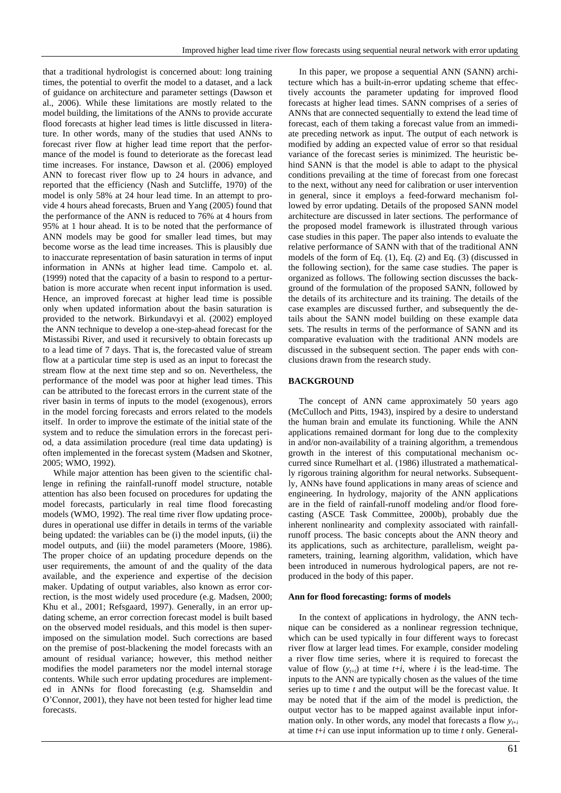that a traditional hydrologist is concerned about: long training times, the potential to overfit the model to a dataset, and a lack of guidance on architecture and parameter settings (Dawson et al., 2006). While these limitations are mostly related to the model building, the limitations of the ANNs to provide accurate flood forecasts at higher lead times is little discussed in literature. In other words, many of the studies that used ANNs to forecast river flow at higher lead time report that the performance of the model is found to deteriorate as the forecast lead time increases. For instance, Dawson et al. (2006) employed ANN to forecast river flow up to 24 hours in advance, and reported that the efficiency (Nash and Sutcliffe, 1970) of the model is only 58% at 24 hour lead time. In an attempt to provide 4 hours ahead forecasts, Bruen and Yang (2005) found that the performance of the ANN is reduced to 76% at 4 hours from 95% at 1 hour ahead. It is to be noted that the performance of ANN models may be good for smaller lead times, but may become worse as the lead time increases. This is plausibly due to inaccurate representation of basin saturation in terms of input information in ANNs at higher lead time. Campolo et. al. (1999) noted that the capacity of a basin to respond to a perturbation is more accurate when recent input information is used. Hence, an improved forecast at higher lead time is possible only when updated information about the basin saturation is provided to the network. Birkundavyi et al. (2002) employed the ANN technique to develop a one-step-ahead forecast for the Mistassibi River, and used it recursively to obtain forecasts up to a lead time of 7 days. That is, the forecasted value of stream flow at a particular time step is used as an input to forecast the stream flow at the next time step and so on. Nevertheless, the performance of the model was poor at higher lead times. This can be attributed to the forecast errors in the current state of the river basin in terms of inputs to the model (exogenous), errors in the model forcing forecasts and errors related to the models itself. In order to improve the estimate of the initial state of the system and to reduce the simulation errors in the forecast period, a data assimilation procedure (real time data updating) is often implemented in the forecast system (Madsen and Skotner, 2005; WMO, 1992).

While major attention has been given to the scientific challenge in refining the rainfall-runoff model structure, notable attention has also been focused on procedures for updating the model forecasts, particularly in real time flood forecasting models (WMO, 1992). The real time river flow updating procedures in operational use differ in details in terms of the variable being updated: the variables can be (i) the model inputs, (ii) the model outputs, and (iii) the model parameters (Moore, 1986). The proper choice of an updating procedure depends on the user requirements, the amount of and the quality of the data available, and the experience and expertise of the decision maker. Updating of output variables, also known as error correction, is the most widely used procedure (e.g. Madsen, 2000; Khu et al., 2001; Refsgaard, 1997). Generally, in an error updating scheme, an error correction forecast model is built based on the observed model residuals, and this model is then superimposed on the simulation model. Such corrections are based on the premise of post-blackening the model forecasts with an amount of residual variance; however, this method neither modifies the model parameters nor the model internal storage contents. While such error updating procedures are implemented in ANNs for flood forecasting (e.g. Shamseldin and O'Connor, 2001), they have not been tested for higher lead time forecasts.

In this paper, we propose a sequential ANN (SANN) architecture which has a built-in-error updating scheme that effectively accounts the parameter updating for improved flood forecasts at higher lead times. SANN comprises of a series of ANNs that are connected sequentially to extend the lead time of forecast, each of them taking a forecast value from an immediate preceding network as input. The output of each network is modified by adding an expected value of error so that residual variance of the forecast series is minimized. The heuristic behind SANN is that the model is able to adapt to the physical conditions prevailing at the time of forecast from one forecast to the next, without any need for calibration or user intervention in general, since it employs a feed-forward mechanism followed by error updating. Details of the proposed SANN model architecture are discussed in later sections. The performance of the proposed model framework is illustrated through various case studies in this paper. The paper also intends to evaluate the relative performance of SANN with that of the traditional ANN models of the form of Eq. (1), Eq. (2) and Eq. (3) (discussed in the following section), for the same case studies. The paper is organized as follows. The following section discusses the background of the formulation of the proposed SANN, followed by the details of its architecture and its training. The details of the case examples are discussed further, and subsequently the details about the SANN model building on these example data sets. The results in terms of the performance of SANN and its comparative evaluation with the traditional ANN models are discussed in the subsequent section. The paper ends with conclusions drawn from the research study.

#### **BACKGROUND**

The concept of ANN came approximately 50 years ago (McCulloch and Pitts, 1943), inspired by a desire to understand the human brain and emulate its functioning. While the ANN applications remained dormant for long due to the complexity in and/or non-availability of a training algorithm, a tremendous growth in the interest of this computational mechanism occurred since Rumelhart et al. (1986) illustrated a mathematically rigorous training algorithm for neural networks. Subsequently, ANNs have found applications in many areas of science and engineering. In hydrology, majority of the ANN applications are in the field of rainfall-runoff modeling and/or flood forecasting (ASCE Task Committee, 2000b), probably due the inherent nonlinearity and complexity associated with rainfallrunoff process. The basic concepts about the ANN theory and its applications, such as architecture, parallelism, weight parameters, training, learning algorithm, validation, which have been introduced in numerous hydrological papers, are not reproduced in the body of this paper.

#### **Ann for flood forecasting: forms of models**

In the context of applications in hydrology, the ANN technique can be considered as a nonlinear regression technique, which can be used typically in four different ways to forecast river flow at larger lead times. For example, consider modeling a river flow time series, where it is required to forecast the value of flow  $(y_{t+i})$  at time  $t+i$ , where *i* is the lead-time. The inputs to the ANN are typically chosen as the values of the time series up to time *t* and the output will be the forecast value. It may be noted that if the aim of the model is prediction, the output vector has to be mapped against available input information only. In other words, any model that forecasts a flow  $y_{t+i}$ at time *t*+*i* can use input information up to time *t* only. General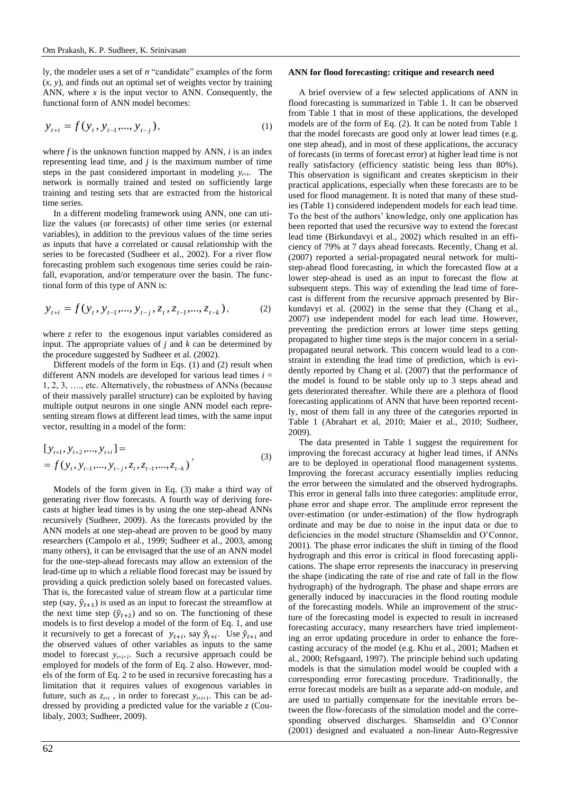ly, the modeler uses a set of *n* "candidate" examples of the form (*x*, *y*), and finds out an optimal set of weights vector by training ANN, where  $x$  is the input vector to ANN. Consequently, the functional form of ANN model becomes:

$$
y_{t+i} = f(y_t, y_{t-1}, \dots, y_{t-j}),
$$
\n(1)

where  $f$  is the unknown function mapped by ANN,  $i$  is an index representing lead time, and *j* is the maximum number of time steps in the past considered important in modeling  $y_{t+i}$ . The network is normally trained and tested on sufficiently large training and testing sets that are extracted from the historical time series.

In a different modeling framework using ANN, one can utilize the values (or forecasts) of other time series (or external variables), in addition to the previous values of the time series as inputs that have a correlated or causal relationship with the series to be forecasted (Sudheer et al., 2002). For a river flow forecasting problem such exogenous time series could be rainfall, evaporation, and/or temperature over the basin. The functional form of this type of ANN is:

$$
y_{t+i} = f(y_t, y_{t-1}, ..., y_{t-j}, z_t, z_{t-1}, ..., z_{t-k}),
$$
 (2)

where *z* refer to the exogenous input variables considered as input. The appropriate values of *j* and *k* can be determined by the procedure suggested by Sudheer et al. (2002).

Different models of the form in Eqs. (1) and (2) result when different ANN models are developed for various lead times  $i =$ 1, 2, 3, …., etc. Alternatively, the robustness of ANNs (because of their massively parallel structure) can be exploited by having multiple output neurons in one single ANN model each representing stream flows at different lead times, with the same input vector, resulting in a model of the form:

$$
[y_{t+1}, y_{t+2}, ..., y_{t+i}] =
$$
  
=  $f(y_t, y_{t-1}, ..., y_{t-j}, z_t, z_{t-1}, ..., z_{t-k})$ , (3)

Models of the form given in Eq. (3) make a third way of generating river flow forecasts. A fourth way of deriving forecasts at higher lead times is by using the one step-ahead ANNs recursively (Sudheer, 2009). As the forecasts provided by the ANN models at one step-ahead are proven to be good by many researchers (Campolo et al., 1999; Sudheer et al., 2003, among many others), it can be envisaged that the use of an ANN model for the one-step-ahead forecasts may allow an extension of the lead-time up to which a reliable flood forecast may be issued by providing a quick prediction solely based on forecasted values. That is, the forecasted value of stream flow at a particular time step (say,  $\hat{y}_{t+1}$ ) is used as an input to forecast the streamflow at the next time step  $(\hat{y}_{t+2})$  and so on. The functioning of these models is to first develop a model of the form of Eq. 1, and use it recursively to get a forecast of  $y_{t+i}$ , say  $\hat{y}_{t+i}$ . Use  $\hat{y}_{t+i}$  and the observed values of other variables as inputs to the same model to forecast  $y_{t+i+1}$ . Such a recursive approach could be employed for models of the form of Eq. 2 also. However, models of the form of Eq. 2 to be used in recursive forecasting has a limitation that it requires values of exogenous variables in future, such as  $z_{t+i}$ , in order to forecast  $y_{t+i+1}$ . This can be addressed by providing a predicted value for the variable *z* (Coulibaly, 2003; Sudheer, 2009).

# **ANN for flood forecasting: critique and research need**

A brief overview of a few selected applications of ANN in flood forecasting is summarized in Table 1. It can be observed from Table 1 that in most of these applications, the developed models are of the form of Eq. (2). It can be noted from Table 1 that the model forecasts are good only at lower lead times (e.g. one step ahead), and in most of these applications, the accuracy of forecasts (in terms of forecast error) at higher lead time is not really satisfactory (efficiency statistic being less than 80%). This observation is significant and creates skepticism in their practical applications, especially when these forecasts are to be used for flood management. It is noted that many of these studies (Table 1) considered independent models for each lead time. To the best of the authors' knowledge, only one application has been reported that used the recursive way to extend the forecast lead time (Birkundavyi et al., 2002) which resulted in an efficiency of 79% at 7 days ahead forecasts. Recently, Chang et al. (2007) reported a serial-propagated neural network for multistep-ahead flood forecasting, in which the forecasted flow at a lower step-ahead is used as an input to forecast the flow at subsequent steps. This way of extending the lead time of forecast is different from the recursive approach presented by Birkundavyi et al. (2002) in the sense that they (Chang et al., 2007) use independent model for each lead time. However, preventing the prediction errors at lower time steps getting propagated to higher time steps is the major concern in a serialpropagated neural network. This concern would lead to a constraint in extending the lead time of prediction, which is evidently reported by Chang et al. (2007) that the performance of the model is found to be stable only up to 3 steps ahead and gets deteriorated thereafter. While there are a plethora of flood forecasting applications of ANN that have been reported recently, most of them fall in any three of the categories reported in Table 1 (Abrahart et al, 2010; Maier et al., 2010; Sudheer, 2009).

The data presented in Table 1 suggest the requirement for improving the forecast accuracy at higher lead times, if ANNs are to be deployed in operational flood management systems. Improving the forecast accuracy essentially implies reducing the error between the simulated and the observed hydrographs. This error in general falls into three categories: amplitude error, phase error and shape error. The amplitude error represent the over-estimation (or under-estimation) of the flow hydrograph ordinate and may be due to noise in the input data or due to deficiencies in the model structure (Shamseldin and O'Connor, 2001). The phase error indicates the shift in timing of the flood hydrograph and this error is critical in flood forecasting applications. The shape error represents the inaccuracy in preserving the shape (indicating the rate of rise and rate of fall in the flow hydrograph) of the hydrograph. The phase and shape errors are generally induced by inaccuracies in the flood routing module of the forecasting models. While an improvement of the structure of the forecasting model is expected to result in increased forecasting accuracy, many researchers have tried implementing an error updating procedure in order to enhance the forecasting accuracy of the model (e.g. Khu et al., 2001; Madsen et al., 2000; Refsgaard, 1997). The principle behind such updating models is that the simulation model would be coupled with a corresponding error forecasting procedure. Traditionally, the error forecast models are built as a separate add-on module, and are used to partially compensate for the inevitable errors between the flow-forecasts of the simulation model and the corresponding observed discharges. Shamseldin and O'Connor (2001) designed and evaluated a non-linear Auto-Regressive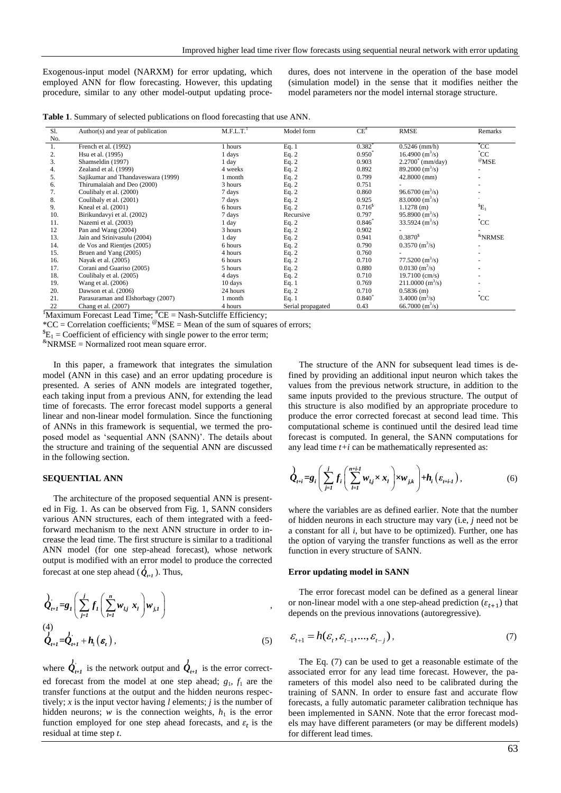Exogenous-input model (NARXM) for error updating, which employed ANN for flow forecasting. However, this updating procedure, similar to any other model-output updating procedures, does not intervene in the operation of the base model (simulation model) in the sense that it modifies neither the model parameters nor the model internal storage structure.

| Table 1. Summary of selected publications on flood forecasting that use ANN. |  |  |  |  |  |
|------------------------------------------------------------------------------|--|--|--|--|--|
|------------------------------------------------------------------------------|--|--|--|--|--|

| Sl. | Author(s) and year of publication  | M.F.L.T. <sup>1</sup> | Model form        | $CE^*$             | <b>RMSE</b>                        | Remarks                |
|-----|------------------------------------|-----------------------|-------------------|--------------------|------------------------------------|------------------------|
| No. |                                    |                       |                   |                    |                                    |                        |
| 1.  | French et al. (1992)               | hours                 | Eq. $1$           | $0.382^{*}$        | $0.5246$ (mm/h)                    | $^{\ast}$ CC           |
| 2.  | Hsu et al. (1995)                  | l days                | Eq. $2$           | $0.950^*$          | $16.4900 \text{ (m}^3\text{/s)}$   | $^{\circ}$ CC          |
| 3.  | Shamseldin (1997)                  | l day                 | Eq. $2$           | 0.903              | $2.2700^{\circ}$ (mm/day)          | $^{\circ}$ MSE         |
| 4.  | Zealand et al. (1999)              | 4 weeks               | Eq. $2$           | 0.892              | $89.2000 \, (\text{m}^3/\text{s})$ |                        |
| 5.  | Sajikumar and Thandaveswara (1999) | month                 | Eq. $2$           | 0.799              | $42.8000$ (mm)                     |                        |
| 6.  | Thirumalaiah and Deo (2000)        | 3 hours               | Eq. $2$           | 0.751              |                                    |                        |
| 7.  | Coulibaly et al. (2000)            | 7 days                | Eq. $2$           | 0.860              | $96.6700 \text{ (m}^3\text{/s)}$   |                        |
| 8.  | Coulibaly et al. (2001)            | 7 days                | Eq. $2$           | 0.925              | $83.0000 \, \text{(m}^3\text{/s)}$ |                        |
| 9.  | Kneal et al. (2001)                | 6 hours               | Eq. $2$           | 0.716 <sup>s</sup> | $1.1278$ (m)                       | ${}^{5}E_1$            |
| 10. | Birikundavyi et al. (2002)         | 7 days                | Recursive         | 0.797              | $95.8900 \text{ (m}^3\text{/s)}$   |                        |
| 11. | Nazemi et al. (2003)               | 1 day                 | Eq. $2$           | $0.846*$           | $33.5924$ (m <sup>3</sup> /s)      | $^{\ast}$ CC           |
| 12  | Pan and Wang (2004)                | 3 hours               | Eq. $2$           | 0.902              |                                    |                        |
| 13. | Jain and Srinivasulu (2004)        | 1 day                 | Eq. $2$           | 0.941              | $0.3870^{5}$                       | <sup>&amp;</sup> NRMSE |
| 14. | de Vos and Rientjes (2005)         | 6 hours               | Eq. $2$           | 0.790              | $0.3570 \; \text{(m}^3\text{/s)}$  |                        |
| 15. | Bruen and Yang (2005)              | 4 hours               | Eq. 2             | 0.760              |                                    |                        |
| 16. | Nayak et al. (2005)                | 6 hours               | Eq. $2$           | 0.710              | $77.5200 \text{ (m}^3\text{/s)}$   |                        |
| 17. | Corani and Guariso (2005)          | 5 hours               | Eq. $2$           | 0.880              | $0.0130$ (m <sup>3</sup> /s)       |                        |
| 18. | Coulibaly et al. (2005)            | 4 days                | Eq. $2$           | 0.710              | $19.7100$ (cm/s)                   |                        |
| 19. | Wang et al. (2006)                 | 10 days               | Eq. 1             | 0.769              | $211.0000$ (m <sup>3</sup> /s)     |                        |
| 20. | Dawson et al. (2006)               | 24 hours              | Eq. $2$           | 0.710              | 0.5836(m)                          |                        |
| 21. | Parasuraman and Elshorbagy (2007)  | l month               | Eq. 1             | $0.840^{*}$        | $3.4000 \, (\text{m}^3/\text{s})$  | $^{\ast}$ CC           |
| 22  | Chang et al. (2007)<br>$+$ .       | 4 hours               | Serial propagated | 0.43               | $66.7000 \, (\text{m}^3/\text{s})$ |                        |

 $\frac{1}{1}$ Maximum Forecast Lead Time;  $\frac{4}{1}$ CE = Nash-Sutcliffe Efficiency;

\*CC = Correlation coefficients;  $\mathcal{O}(MSE)$  = Mean of the sum of squares of errors;

 ${}^{\$}E_1$  = Coefficient of efficiency with single power to the error term;

 $\text{R}$ NRMSE = Normalized root mean square error.

In this paper, a framework that integrates the simulation model (ANN in this case) and an error updating procedure is presented. A series of ANN models are integrated together, each taking input from a previous ANN, for extending the lead time of forecasts. The error forecast model supports a general linear and non-linear model formulation. Since the functioning of ANNs in this framework is sequential, we termed the proposed model as 'sequential ANN (SANN)'. The details about the structure and training of the sequential ANN are discussed in the following section.

## **SEQUENTIAL ANN**

The architecture of the proposed sequential ANN is presented in Fig. 1. As can be observed from Fig. 1, SANN considers various ANN structures, each of them integrated with a feedforward mechanism to the next ANN structure in order to increase the lead time. The first structure is similar to a traditional ANN model (for one step-ahead forecast), whose network output is modified with an error model to produce the corrected forecast at one step ahead  $(\vec{\mathcal{Q}}_{t+1})$ . Thus,

$$
\hat{\mathbf{Q}}_{t+1}^{'} = \mathbf{g}_I \left( \sum_{j=1}^j f_I \left( \sum_{l=1}^n w_{lj} x_l \right) w_{j,l} \right),
$$
\n
$$
\hat{\mathbf{Q}}_{t+1}^{(4)} = \hat{\mathbf{Q}}_{t+1}^{'} + \mathbf{h}_1 \left( \mathbf{\varepsilon}_t \right),
$$
\n(5)

where  $\oint_{t+1}$  is the network output and  $\overline{1}$  $\mathcal{Q}_{t+1}$  is the error corrected forecast from the model at one step ahead;  $g_1$ ,  $f_1$  are the transfer functions at the output and the hidden neurons respectively; *x* is the input vector having *l* elements; *j* is the number of hidden neurons;  $w$  is the connection weights,  $h_1$  is the error function employed for one step ahead forecasts, and  $\varepsilon_t$  is the residual at time step *t*.

The structure of the ANN for subsequent lead times is defined by providing an additional input neuron which takes the values from the previous network structure, in addition to the same inputs provided to the previous structure. The output of this structure is also modified by an appropriate procedure to produce the error corrected forecast at second lead time. This computational scheme is continued until the desired lead time forecast is computed. In general, the SANN computations for any lead time *t+i* can be mathematically represented as:

$$
\hat{Q}_{t+i} = g_i \left( \sum_{j=1}^j f_i \left( \sum_{l=1}^{n+i-1} w_{l,j} \times x_l \right) \times w_{j,k} \right) + h_i \left( \varepsilon_{t+i-1} \right), \tag{6}
$$

where the variables are as defined earlier. Note that the number of hidden neurons in each structure may vary (i.e, *j* need not be a constant for all *i*, but have to be optimized). Further, one has the option of varying the transfer functions as well as the error function in every structure of SANN.

#### **Error updating model in SANN**

The error forecast model can be defined as a general linear or non-linear model with a one step-ahead prediction  $(\varepsilon_{t+1})$  that depends on the previous innovations (autoregressive).

$$
\mathcal{E}_{t+1} = h(\mathcal{E}_t, \mathcal{E}_{t-1}, ..., \mathcal{E}_{t-j}),
$$
\n(7)

The Eq. (7) can be used to get a reasonable estimate of the associated error for any lead time forecast. However, the parameters of this model also need to be calibrated during the training of SANN. In order to ensure fast and accurate flow forecasts, a fully automatic parameter calibration technique has been implemented in SANN. Note that the error forecast models may have different parameters (or may be different models) for different lead times.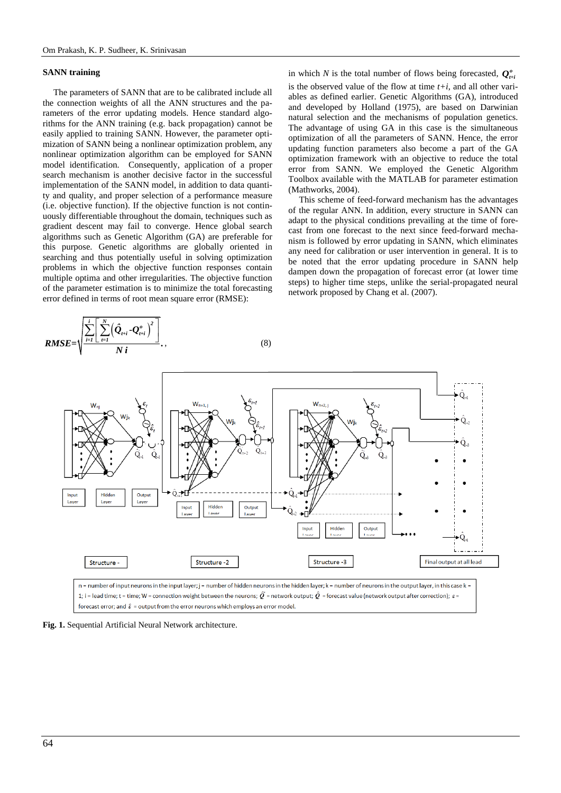# **SANN training**

The parameters of SANN that are to be calibrated include all the connection weights of all the ANN structures and the parameters of the error updating models. Hence standard algorithms for the ANN training (e.g. back propagation) cannot be easily applied to training SANN. However, the parameter optimization of SANN being a nonlinear optimization problem, any nonlinear optimization algorithm can be employed for SANN model identification. Consequently, application of a proper search mechanism is another decisive factor in the successful implementation of the SANN model, in addition to data quantity and quality, and proper selection of a performance measure (i.e. objective function). If the objective function is not continuously differentiable throughout the domain, techniques such as gradient descent may fail to converge. Hence global search algorithms such as Genetic Algorithm (GA) are preferable for this purpose. Genetic algorithms are globally oriented in searching and thus potentially useful in solving optimization problems in which the objective function responses contain multiple optima and other irregularities. The objective function of the parameter estimation is to minimize the total forecasting error defined in terms of root mean square error (RMSE):

$$
RMSE = \sqrt{\frac{\sum_{i=1}^{i} \left[ \sum_{t=1}^{N} \left( \hat{Q}_{t+i} - Q_{t+i}^{o} \right)^{2} \right]}{N i}}, \qquad (8)
$$

in which *N* is the total number of flows being forecasted,  $Q_{\mu}^{\circ}$ is the observed value of the flow at time  $t+i$ , and all other variables as defined earlier. Genetic Algorithms (GA), introduced and developed by Holland (1975), are based on Darwinian natural selection and the mechanisms of population genetics. The advantage of using GA in this case is the simultaneous optimization of all the parameters of SANN. Hence, the error updating function parameters also become a part of the GA optimization framework with an objective to reduce the total error from SANN. We employed the Genetic Algorithm Toolbox available with the MATLAB for parameter estimation (Mathworks, 2004).

This scheme of feed-forward mechanism has the advantages of the regular ANN. In addition, every structure in SANN can adapt to the physical conditions prevailing at the time of forecast from one forecast to the next since feed-forward mechanism is followed by error updating in SANN, which eliminates any need for calibration or user intervention in general. It is to be noted that the error updating procedure in SANN help dampen down the propagation of forecast error (at lower time steps) to higher time steps, unlike the serial-propagated neural network proposed by Chang et al. (2007).



**Fig. 1.** Sequential Artificial Neural Network architecture.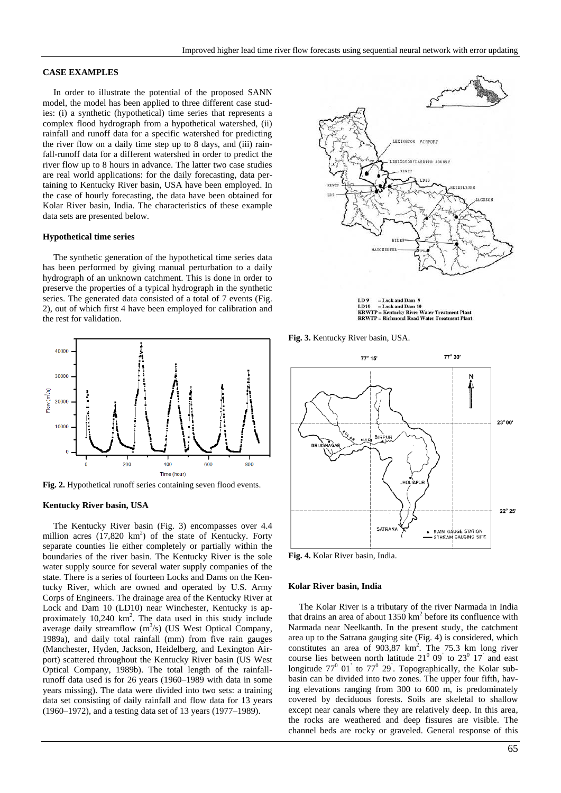# **CASE EXAMPLES**

In order to illustrate the potential of the proposed SANN model, the model has been applied to three different case studies: (i) a synthetic (hypothetical) time series that represents a complex flood hydrograph from a hypothetical watershed, (ii) rainfall and runoff data for a specific watershed for predicting the river flow on a daily time step up to 8 days, and (iii) rainfall-runoff data for a different watershed in order to predict the river flow up to 8 hours in advance. The latter two case studies are real world applications: for the daily forecasting, data pertaining to Kentucky River basin, USA have been employed. In the case of hourly forecasting, the data have been obtained for Kolar River basin, India. The characteristics of these example data sets are presented below.

#### **Hypothetical time series**

The synthetic generation of the hypothetical time series data has been performed by giving manual perturbation to a daily hydrograph of an unknown catchment. This is done in order to preserve the properties of a typical hydrograph in the synthetic series. The generated data consisted of a total of 7 events (Fig. 2), out of which first 4 have been employed for calibration and the rest for validation.



**Fig. 2.** Hypothetical runoff series containing seven flood events.

#### **Kentucky River basin, USA**

The Kentucky River basin (Fig. 3) encompasses over 4.4 million acres  $(17,820 \text{ km}^2)$  of the state of Kentucky. Forty separate counties lie either completely or partially within the boundaries of the river basin. The Kentucky River is the sole water supply source for several water supply companies of the state. There is a series of fourteen Locks and Dams on the Kentucky River, which are owned and operated by U.S. Army Corps of Engineers. The drainage area of the Kentucky River at Lock and Dam 10 (LD10) near Winchester, Kentucky is approximately 10,240 km<sup>2</sup>. The data used in this study include average daily streamflow  $(m^3/s)$  (US West Optical Company, 1989a), and daily total rainfall (mm) from five rain gauges (Manchester, Hyden, Jackson, Heidelberg, and Lexington Airport) scattered throughout the Kentucky River basin (US West Optical Company, 1989b). The total length of the rainfallrunoff data used is for 26 years (1960–1989 with data in some years missing). The data were divided into two sets: a training data set consisting of daily rainfall and flow data for 13 years (1960–1972), and a testing data set of 13 years (1977–1989).



**TD9**  $=$  Lock and Dam LD 9 = Lock and Dam 9<br>LD10 = Lock and Dam 10<br>KRWTP = Kentucky River Water Treatment Plant<br>RRWTP = Richmond Road Water Treatment Plant

**Fig. 3.** Kentucky River basin, USA.



**Fig. 4.** Kolar River basin, India.

#### **Kolar River basin, India**

The Kolar River is a tributary of the river Narmada in India that drains an area of about  $1350 \text{ km}^2$  before its confluence with Narmada near Neelkanth. In the present study, the catchment area up to the Satrana gauging site (Fig. 4) is considered, which constitutes an area of  $903,87$  km<sup>2</sup>. The 75.3 km long river course lies between north latitude  $21^0$  09' to  $23^0$  17' and east longitude  $77^{\circ}$  01<sup>'</sup> to  $77^{\circ}$  29<sup>'</sup>. Topographically, the Kolar subbasin can be divided into two zones. The upper four fifth, having elevations ranging from 300 to 600 m, is predominately covered by deciduous forests. Soils are skeletal to shallow except near canals where they are relatively deep. In this area, the rocks are weathered and deep fissures are visible. The channel beds are rocky or graveled. General response of this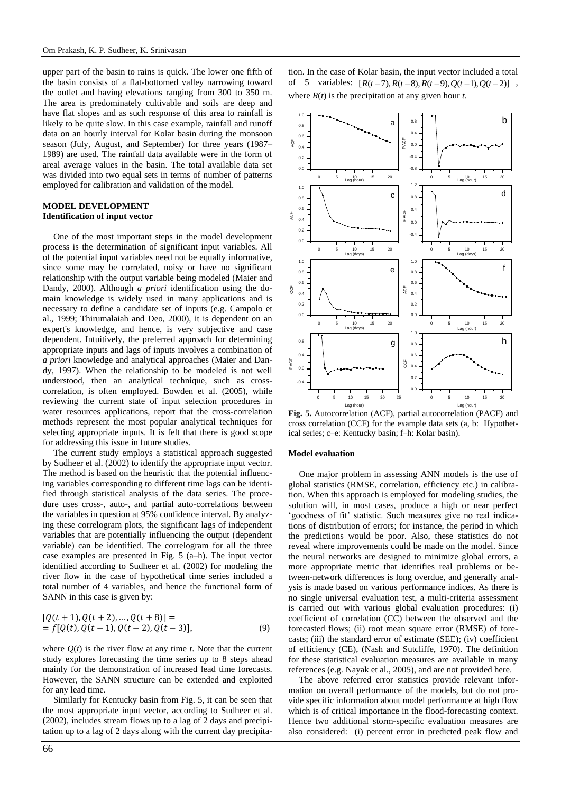upper part of the basin to rains is quick. The lower one fifth of the basin consists of a flat-bottomed valley narrowing toward the outlet and having elevations ranging from 300 to 350 m. The area is predominately cultivable and soils are deep and have flat slopes and as such response of this area to rainfall is likely to be quite slow. In this case example, rainfall and runoff data on an hourly interval for Kolar basin during the monsoon season (July, August, and September) for three years (1987– 1989) are used. The rainfall data available were in the form of areal average values in the basin. The total available data set was divided into two equal sets in terms of number of patterns employed for calibration and validation of the model.

# **MODEL DEVELOPMENT Identification of input vector**

One of the most important steps in the model development process is the determination of significant input variables. All of the potential input variables need not be equally informative, since some may be correlated, noisy or have no significant relationship with the output variable being modeled (Maier and Dandy, 2000). Although *a priori* identification using the domain knowledge is widely used in many applications and is necessary to define a candidate set of inputs (e.g. Campolo et al., 1999; Thirumalaiah and Deo, 2000), it is dependent on an expert's knowledge, and hence, is very subjective and case dependent. Intuitively, the preferred approach for determining appropriate inputs and lags of inputs involves a combination of *a priori* knowledge and analytical approaches (Maier and Dandy, 1997). When the relationship to be modeled is not well understood, then an analytical technique, such as crosscorrelation, is often employed. Bowden et al. (2005), while reviewing the current state of input selection procedures in water resources applications, report that the cross-correlation methods represent the most popular analytical techniques for selecting appropriate inputs. It is felt that there is good scope for addressing this issue in future studies.

The current study employs a statistical approach suggested by Sudheer et al. (2002) to identify the appropriate input vector. The method is based on the heuristic that the potential influencing variables corresponding to different time lags can be identified through statistical analysis of the data series. The procedure uses cross-, auto-, and partial auto-correlations between the variables in question at 95% confidence interval. By analyzing these correlogram plots, the significant lags of independent variables that are potentially influencing the output (dependent variable) can be identified. The correlogram for all the three case examples are presented in Fig. 5 (a–h). The input vector identified according to Sudheer et al. (2002) for modeling the river flow in the case of hypothetical time series included a total number of 4 variables, and hence the functional form of SANN in this case is given by:

$$
[Q(t + 1), Q(t + 2), ..., Q(t + 8)] == f[Q(t), Q(t - 1), Q(t - 2), Q(t - 3)],
$$
\n(9)

where  $Q(t)$  is the river flow at any time  $t$ . Note that the current study explores forecasting the time series up to 8 steps ahead mainly for the demonstration of increased lead time forecasts. However, the SANN structure can be extended and exploited for any lead time.

Similarly for Kentucky basin from Fig. 5, it can be seen that the most appropriate input vector, according to Sudheer et al. (2002), includes stream flows up to a lag of 2 days and precipitation up to a lag of 2 days along with the current day precipitation. In the case of Kolar basin, the input vector included a total tion. In the case of Kolar basin, the input vector included a total<br>of 5 variables:  $[R(t-7), R(t-8), R(t-9), Q(t-1), Q(t-2)]$ , where *R*(*t*) is the precipitation at any given hour *t*.



**Fig. 5.** Autocorrelation (ACF), partial autocorrelation (PACF) and cross correlation (CCF) for the example data sets (a, b: Hypothetical series; c–e: Kentucky basin; f–h: Kolar basin).

#### **Model evaluation**

One major problem in assessing ANN models is the use of global statistics (RMSE, correlation, efficiency etc.) in calibration. When this approach is employed for modeling studies, the solution will, in most cases, produce a high or near perfect 'goodness of fit' statistic. Such measures give no real indications of distribution of errors; for instance, the period in which the predictions would be poor. Also, these statistics do not reveal where improvements could be made on the model. Since the neural networks are designed to minimize global errors, a more appropriate metric that identifies real problems or between-network differences is long overdue, and generally analysis is made based on various performance indices. As there is no single universal evaluation test, a multi-criteria assessment is carried out with various global evaluation procedures: (i) coefficient of correlation (CC) between the observed and the forecasted flows; (ii) root mean square error (RMSE) of forecasts; (iii) the standard error of estimate (SEE); (iv) coefficient of efficiency (CE), (Nash and Sutcliffe, 1970). The definition for these statistical evaluation measures are available in many references (e.g. Nayak et al., 2005), and are not provided here.

The above referred error statistics provide relevant information on overall performance of the models, but do not provide specific information about model performance at high flow which is of critical importance in the flood-forecasting context. Hence two additional storm-specific evaluation measures are also considered: (i) percent error in predicted peak flow and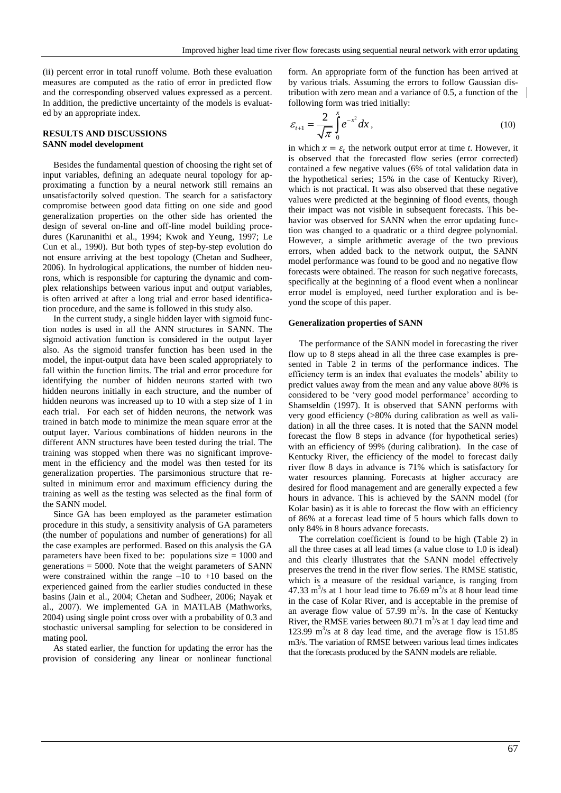(ii) percent error in total runoff volume. Both these evaluation measures are computed as the ratio of error in predicted flow and the corresponding observed values expressed as a percent. In addition, the predictive uncertainty of the models is evaluated by an appropriate index.

## **RESULTS AND DISCUSSIONS SANN model development**

Besides the fundamental question of choosing the right set of input variables, defining an adequate neural topology for approximating a function by a neural network still remains an unsatisfactorily solved question. The search for a satisfactory compromise between good data fitting on one side and good generalization properties on the other side has oriented the design of several on-line and off-line model building procedures (Karunanithi et al., 1994; Kwok and Yeung, 1997; Le Cun et al., 1990). But both types of step-by-step evolution do not ensure arriving at the best topology (Chetan and Sudheer, 2006). In hydrological applications, the number of hidden neurons, which is responsible for capturing the dynamic and complex relationships between various input and output variables, is often arrived at after a long trial and error based identification procedure, and the same is followed in this study also.

In the current study, a single hidden layer with sigmoid function nodes is used in all the ANN structures in SANN. The sigmoid activation function is considered in the output layer also. As the sigmoid transfer function has been used in the model, the input-output data have been scaled appropriately to fall within the function limits. The trial and error procedure for identifying the number of hidden neurons started with two hidden neurons initially in each structure, and the number of hidden neurons was increased up to 10 with a step size of 1 in each trial. For each set of hidden neurons, the network was trained in batch mode to minimize the mean square error at the output layer. Various combinations of hidden neurons in the different ANN structures have been tested during the trial. The training was stopped when there was no significant improvement in the efficiency and the model was then tested for its generalization properties. The parsimonious structure that resulted in minimum error and maximum efficiency during the training as well as the testing was selected as the final form of the SANN model.

Since GA has been employed as the parameter estimation procedure in this study, a sensitivity analysis of GA parameters (the number of populations and number of generations) for all the case examples are performed. Based on this analysis the GA parameters have been fixed to be: populations size = 1000 and generations = 5000. Note that the weight parameters of SANN were constrained within the range  $-10$  to  $+10$  based on the experienced gained from the earlier studies conducted in these basins (Jain et al., 2004; Chetan and Sudheer, 2006; Nayak et al., 2007). We implemented GA in MATLAB (Mathworks, 2004) using single point cross over with a probability of 0.3 and stochastic universal sampling for selection to be considered in mating pool.

As stated earlier, the function for updating the error has the provision of considering any linear or nonlinear functional form. An appropriate form of the function has been arrived at by various trials. Assuming the errors to follow Gaussian distribution with zero mean and a variance of 0.5, a function of the following form was tried initially:

$$
\varepsilon_{t+1} = \frac{2}{\sqrt{\pi}} \int_{0}^{x} e^{-x^2} dx, \qquad (10)
$$

in which  $x = \varepsilon_t$  the network output error at time *t*. However, it is observed that the forecasted flow series (error corrected) contained a few negative values (6% of total validation data in the hypothetical series; 15% in the case of Kentucky River), which is not practical. It was also observed that these negative values were predicted at the beginning of flood events, though their impact was not visible in subsequent forecasts. This behavior was observed for SANN when the error updating function was changed to a quadratic or a third degree polynomial. However, a simple arithmetic average of the two previous errors, when added back to the network output, the SANN model performance was found to be good and no negative flow forecasts were obtained. The reason for such negative forecasts, specifically at the beginning of a flood event when a nonlinear error model is employed, need further exploration and is beyond the scope of this paper.

#### **Generalization properties of SANN**

The performance of the SANN model in forecasting the river flow up to 8 steps ahead in all the three case examples is presented in Table 2 in terms of the performance indices. The efficiency term is an index that evaluates the models' ability to predict values away from the mean and any value above 80% is considered to be 'very good model performance' according to Shamseldin (1997). It is observed that SANN performs with very good efficiency (>80% during calibration as well as validation) in all the three cases. It is noted that the SANN model forecast the flow 8 steps in advance (for hypothetical series) with an efficiency of 99% (during calibration). In the case of Kentucky River, the efficiency of the model to forecast daily river flow 8 days in advance is 71% which is satisfactory for water resources planning. Forecasts at higher accuracy are desired for flood management and are generally expected a few hours in advance. This is achieved by the SANN model (for Kolar basin) as it is able to forecast the flow with an efficiency of 86% at a forecast lead time of 5 hours which falls down to only 84% in 8 hours advance forecasts.

The correlation coefficient is found to be high (Table 2) in all the three cases at all lead times (a value close to 1.0 is ideal) and this clearly illustrates that the SANN model effectively preserves the trend in the river flow series. The RMSE statistic, which is a measure of the residual variance, is ranging from 47.33  $\text{m}^3\text{/s}$  at 1 hour lead time to 76.69  $\text{m}^3\text{/s}$  at 8 hour lead time in the case of Kolar River, and is acceptable in the premise of an average flow value of  $57.99 \text{ m}^3/\text{s}$ . In the case of Kentucky River, the RMSE varies between  $80.71 \text{ m}^3/\text{s}$  at 1 day lead time and 123.99  $\text{m}^3\text{/s}$  at 8 day lead time, and the average flow is 151.85 m3/s. The variation of RMSE between various lead times indicates that the forecasts produced by the SANN models are reliable.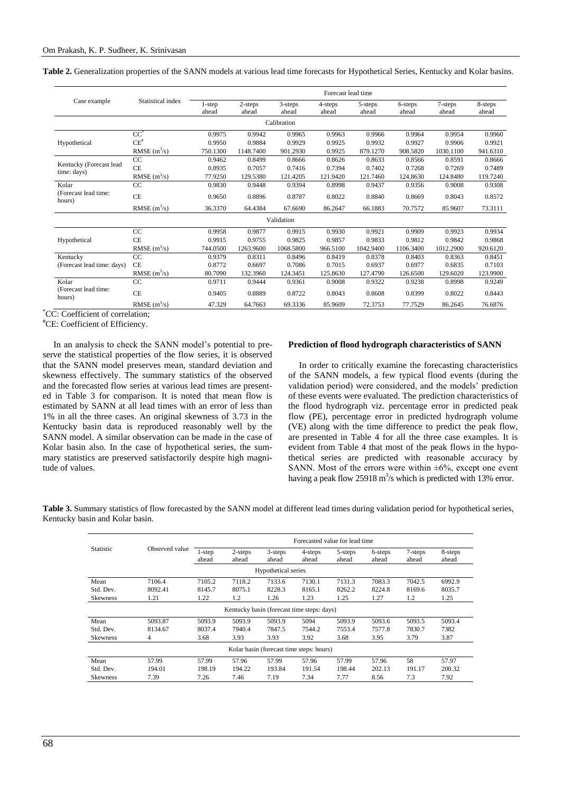**Table 2.** Generalization properties of the SANN models at various lead time forecasts for Hypothetical Series, Kentucky and Kolar basins.

|                                        | Statistical index | Forecast lead time |                  |                  |                  |                  |                  |                  |                  |  |  |
|----------------------------------------|-------------------|--------------------|------------------|------------------|------------------|------------------|------------------|------------------|------------------|--|--|
| Case example                           |                   | 1-step<br>ahead    | 2-steps<br>ahead | 3-steps<br>ahead | 4-steps<br>ahead | 5-steps<br>ahead | 6-steps<br>ahead | 7-steps<br>ahead | 8-steps<br>ahead |  |  |
|                                        |                   |                    |                  | Calibration      |                  |                  |                  |                  |                  |  |  |
|                                        | $CC^*$            | 0.9975             | 0.9942           | 0.9965           | 0.9963           | 0.9966           | 0.9964           | 0.9954           | 0.9960           |  |  |
| Hypothetical                           | $CE^{\#}$         | 0.9950             | 0.9884           | 0.9929           | 0.9925           | 0.9932           | 0.9927           | 0.9906           | 0.9921           |  |  |
|                                        | RMSE $(m^3/s)$    | 750.1300           | 1148.7400        | 901.2930         | 0.9925           | 879.1270         | 908.5820         | 1030.1100        | 941.6310         |  |  |
|                                        | CC                | 0.9462             | 0.8499           | 0.8666           | 0.8626           | 0.8633           | 0.8566           | 0.8591           | 0.8666           |  |  |
| Kentucky (Forecast lead<br>time: days) | <b>CE</b>         | 0.8935             | 0.7057           | 0.7416           | 0.7394           | 0.7402           | 0.7268           | 0.7269           | 0.7489           |  |  |
|                                        | RMSE $(m^3/s)$    | 77.9250            | 129.5380         | 121.4205         | 121.9420         | 121.7460         | 124.8630         | 124.8480         | 119.7240         |  |  |
| Kolar                                  | CC                | 0.9830             | 0.9448           | 0.9394           | 0.8998           | 0.9437           | 0.9356           | 0.9008           | 0.9308           |  |  |
| (Forecast lead time:<br>hours)         | <b>CE</b>         | 0.9650             | 0.8896           | 0.8787           | 0.8022           | 0.8840           | 0.8669           | 0.8043           | 0.8572           |  |  |
|                                        | RMSE $(m^3/s)$    | 36.3370            | 64.4384          | 67.6690          | 86.2647          | 66.1883          | 70.7572          | 85.9607          | 73.3111          |  |  |
|                                        |                   |                    |                  | Validation       |                  |                  |                  |                  |                  |  |  |
|                                        | CC                | 0.9958             | 0.9877           | 0.9915           | 0.9930           | 0.9921           | 0.9909           | 0.9923           | 0.9934           |  |  |
| Hypothetical                           | <b>CE</b>         | 0.9915             | 0.9755           | 0.9825           | 0.9857           | 0.9833           | 0.9812           | 0.9842           | 0.9868           |  |  |
|                                        | RMSE $(m^3/s)$    | 744.0500           | 1263.9600        | 1068.5800        | 966.5100         | 1042.9400        | 1106.3400        | 1012.2900        | 920.6120         |  |  |
| Kentucky                               | CC                | 0.9379             | 0.8311           | 0.8496           | 0.8419           | 0.8378           | 0.8403           | 0.8363           | 0.8451           |  |  |
| (Forecast lead time: days)             | <b>CE</b>         | 0.8772             | 0.6697           | 0.7086           | 0.7015           | 0.6937           | 0.6977           | 0.6835           | 0.7103           |  |  |
|                                        | RMSE $(m^3/s)$    | 80.7090            | 132.3960         | 124.3451         | 125.8630         | 127.4790         | 126.6500         | 129.6020         | 123.9900         |  |  |
| Kolar                                  | CC                | 0.9711             | 0.9444           | 0.9361           | 0.9008           | 0.9322           | 0.9238           | 0.8998           | 0.9249           |  |  |
| (Forecast lead time:<br>hours)         | <b>CE</b>         | 0.9405             | 0.8889           | 0.8722           | 0.8043           | 0.8608           | 0.8399           | 0.8022           | 0.8443           |  |  |
|                                        | RMSE $(m^3/s)$    | 47.329             | 64.7663          | 69.3336          | 85.9609          | 72.3753          | 77.7529          | 86.2645          | 76.6876          |  |  |

\*CC: Coefficient of correlation;

#CE: Coefficient of Efficiency.

In an analysis to check the SANN model's potential to preserve the statistical properties of the flow series, it is observed that the SANN model preserves mean, standard deviation and skewness effectively. The summary statistics of the observed and the forecasted flow series at various lead times are presented in Table 3 for comparison. It is noted that mean flow is estimated by SANN at all lead times with an error of less than 1% in all the three cases. An original skewness of 3.73 in the Kentucky basin data is reproduced reasonably well by the SANN model. A similar observation can be made in the case of Kolar basin also. In the case of hypothetical series, the summary statistics are preserved satisfactorily despite high magnitude of values.

# **Prediction of flood hydrograph characteristics of SANN**

In order to critically examine the forecasting characteristics of the SANN models, a few typical flood events (during the validation period) were considered, and the models' prediction of these events were evaluated. The prediction characteristics of the flood hydrograph viz. percentage error in predicted peak flow (PE), percentage error in predicted hydrograph volume (VE) along with the time difference to predict the peak flow, are presented in Table 4 for all the three case examples. It is evident from Table 4 that most of the peak flows in the hypothetical series are predicted with reasonable accuracy by SANN. Most of the errors were within  $\pm 6\%$ , except one event having a peak flow 25918  $\text{m}^3$ /s which is predicted with 13% error.

**Table 3.** Summary statistics of flow forecasted by the SANN model at different lead times during validation period for hypothetical series, Kentucky basin and Kolar basin.

|                                          |                | Forecasted value for lead time |                                            |                  |                  |                  |                  |                  |                  |  |  |
|------------------------------------------|----------------|--------------------------------|--------------------------------------------|------------------|------------------|------------------|------------------|------------------|------------------|--|--|
| Statistic                                | Observed value | $1$ -step<br>ahead             | $2$ -steps<br>ahead                        | 3-steps<br>ahead | 4-steps<br>ahead | 5-steps<br>ahead | 6-steps<br>ahead | 7-steps<br>ahead | 8-steps<br>ahead |  |  |
|                                          |                | Hypothetical series            |                                            |                  |                  |                  |                  |                  |                  |  |  |
| Mean                                     | 7106.4         | 7105.2                         | 7118.2                                     | 7133.6           | 7130.1           | 7131.3           | 7083.3           | 7042.5           | 6992.9           |  |  |
| Std. Dev.                                | 8092.41        | 8145.7                         | 8075.1                                     | 8228.3           | 8165.1           | 8262.2           | 8224.8           | 8169.6           | 8035.7           |  |  |
| <b>Skewness</b>                          | 1.21           | 1.22                           | 1.2                                        | 1.26             | 1.23             | 1.25             | 1.27             | 1.2              | 1.25             |  |  |
|                                          |                |                                | Kentucky basin (forecast time steps: days) |                  |                  |                  |                  |                  |                  |  |  |
| Mean                                     | 5093.87        | 5093.9                         | 5093.9                                     | 5093.9           | 5094             | 5093.9           | 5093.6           | 5093.5           | 5093.4           |  |  |
| Std. Dev.                                | 8134.67        | 8037.4                         | 7940.4                                     | 7847.5           | 7544.2           | 7553.4           | 7577.8           | 7830.7           | 7382             |  |  |
| <b>Skewness</b>                          | 4              | 3.68                           | 3.93                                       | 3.93             | 3.92             | 3.68             | 3.95             | 3.79             | 3.87             |  |  |
| Kolar basin (forecast time steps: hours) |                |                                |                                            |                  |                  |                  |                  |                  |                  |  |  |
| Mean                                     | 57.99          | 57.99                          | 57.96                                      | 57.99            | 57.96            | 57.99            | 57.96            | 58               | 57.97            |  |  |
| Std. Dev.                                | 194.01         | 198.19                         | 194.22                                     | 193.84           | 191.54           | 198.44           | 202.13           | 191.17           | 200.32           |  |  |
| <b>Skewness</b>                          | 7.39           | 7.26                           | 7.46                                       | 7.19             | 7.34             | 7.77             | 8.56             | 7.3              | 7.92             |  |  |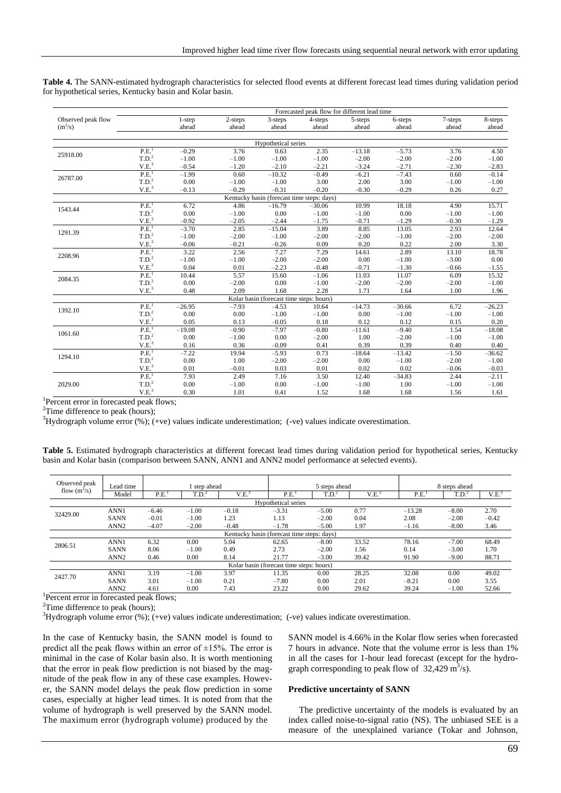|                    | Forecasted peak flow for different lead time |           |            |                                            |          |          |          |         |          |  |  |
|--------------------|----------------------------------------------|-----------|------------|--------------------------------------------|----------|----------|----------|---------|----------|--|--|
| Observed peak flow |                                              | $1$ -step | $2$ -steps | 3-steps                                    | 4-steps  | 5-steps  | 6-steps  | 7-steps | 8-steps  |  |  |
| $(m^3/s)$          |                                              | ahead     | ahead      | ahead                                      | ahead    | ahead    | ahead    | ahead   | ahead    |  |  |
|                    |                                              |           |            | Hypothetical series                        |          |          |          |         |          |  |  |
|                    | P.E. <sup>1</sup>                            | $-0.29$   | 3.76       | 0.63                                       | 2.35     | $-13.18$ | $-5.73$  | 3.76    | 4.50     |  |  |
| 25918.00           | T.D. <sup>2</sup>                            | $-1.00$   | $-1.00$    | $-1.00$                                    | $-1.00$  | $-2.00$  | $-2.00$  | $-2.00$ | $-1.00$  |  |  |
|                    | V.E. <sup>3</sup>                            | $-0.54$   | $-1.20$    | $-2.10$                                    | $-2.21$  | $-3.24$  | $-2.71$  | $-2.30$ | $-2.83$  |  |  |
|                    | P.E. <sup>1</sup>                            | $-1.99$   | 0.60       | $-10.32$                                   | $-0.49$  | $-6.21$  | $-7.43$  | 0.60    | $-0.14$  |  |  |
| 26787.00           | T.D. <sup>2</sup>                            | 0.00      | $-1.00$    | $-1.00$                                    | 3.00     | 2.00     | 3.00     | $-1.00$ | $-1.00$  |  |  |
|                    | V.E. <sup>3</sup>                            | $-0.13$   | $-0.29$    | $-0.31$                                    | $-0.20$  | $-0.30$  | $-0.29$  | 0.26    | 0.27     |  |  |
|                    |                                              |           |            | Kentucky basin (forecast time steps: days) |          |          |          |         |          |  |  |
| 1543.44            | P.E. <sup>1</sup>                            | 6.72      | 4.86       | $-16.79$                                   | $-30.06$ | 10.99    | 18.18    | 4.90    | 15.71    |  |  |
|                    | T.D. <sup>2</sup>                            | 0.00      | $-1.00$    | 0.00                                       | $-1.00$  | $-1.00$  | 0.00     | $-1.00$ | $-1.00$  |  |  |
|                    | V.E. <sup>3</sup>                            | $-0.92$   | $-2.05$    | $-2.44$                                    | $-1.75$  | $-0.71$  | $-1.29$  | $-0.30$ | $-1.29$  |  |  |
| 1291.39            | PE <sub>1</sub>                              | $-3.70$   | 2.85       | $-15.04$                                   | 3.89     | 8.85     | 13.05    | 2.93    | 12.64    |  |  |
|                    | T.D. <sup>2</sup>                            | $-1.00$   | $-2.00$    | $-1.00$                                    | $-2.00$  | $-2.00$  | $-1.00$  | $-2.00$ | $-2.00$  |  |  |
|                    | V.E. <sup>3</sup>                            | $-0.06$   | $-0.21$    | $-0.26$                                    | 0.09     | 0.20     | 0.22     | 2.00    | 3.30     |  |  |
| 2208.96            | P.E. <sup>1</sup>                            | 3.22      | 2.56       | 7.27                                       | 7.29     | 14.61    | 2.89     | 13.10   | 18.78    |  |  |
|                    | T.D. <sup>2</sup>                            | $-1.00$   | $-1.00$    | $-2.00$                                    | $-2.00$  | 0.00     | $-1.00$  | $-3.00$ | 0.00     |  |  |
|                    | V.E. <sup>3</sup>                            | 0.04      | 0.01       | $-2.23$                                    | $-0.48$  | $-0.71$  | $-1.30$  | $-0.66$ | $-1.55$  |  |  |
| 2084.35            | P.E. <sup>1</sup>                            | 10.44     | 5.57       | 15.60                                      | $-1.06$  | 11.03    | 11.07    | 6.09    | 15.32    |  |  |
|                    | T.D. <sup>2</sup>                            | 0.00      | $-2.00$    | 0.00                                       | $-1.00$  | $-2.00$  | $-2.00$  | $-2.00$ | $-1.00$  |  |  |
|                    | V.E. <sup>3</sup>                            | 0.48      | 2.09       | 1.68                                       | 2.28     | 1.71     | 1.64     | 1.00    | 1.96     |  |  |
|                    |                                              |           |            | Kolar basin (forecast time steps: hours)   |          |          |          |         |          |  |  |
| 1392.10            | PE <sub>1</sub>                              | $-26.95$  | $-7.93$    | $-4.53$                                    | 10.64    | $-14.73$ | $-30.66$ | 6.72    | $-26.23$ |  |  |
|                    | T.D. <sup>2</sup>                            | 0.00      | 0.00       | $-1.00$                                    | $-1.00$  | 0.00     | $-1.00$  | $-1.00$ | $-1.00$  |  |  |
|                    | V.E. <sup>3</sup>                            | 0.05      | 0.13       | $-0.05$                                    | 0.18     | 0.12     | 0.12     | 0.15    | 0.20     |  |  |
| 1061.60            | P.E. <sup>1</sup>                            | $-19.08$  | $-0.90$    | $-7.97$                                    | $-0.80$  | $-11.61$ | $-9.40$  | 1.54    | $-18.08$ |  |  |
|                    | T.D. <sup>2</sup>                            | 0.00      | $-1.00$    | 0.00                                       | $-2.00$  | 1.00     | $-2.00$  | $-1.00$ | $-1.00$  |  |  |
|                    | V.E. <sup>3</sup>                            | 0.16      | 0.36       | $-0.09$                                    | 0.41     | 0.39     | 0.39     | 0.40    | 0.40     |  |  |
| 1294.10            | P.E. <sup>1</sup>                            | $-7.22$   | 19.94      | $-5.93$                                    | 0.73     | $-18.64$ | $-13.42$ | $-1.50$ | $-36.62$ |  |  |
|                    | T.D. <sup>2</sup>                            | 0.00      | 1.00       | $-2.00$                                    | $-2.00$  | 0.00     | $-1.00$  | $-2.00$ | $-1.00$  |  |  |
|                    | V.E. <sup>3</sup>                            | 0.01      | $-0.01$    | 0.03                                       | 0.01     | 0.02     | 0.02     | $-0.06$ | $-0.03$  |  |  |
|                    | P.E. <sup>1</sup>                            | 7.93      | 2.49       | 7.16                                       | 3.50     | 12.40    | $-34.83$ | 2.44    | $-2.11$  |  |  |
| 2029.00            | T.D. <sup>2</sup>                            | 0.00      | $-1.00$    | 0.00                                       | $-1.00$  | $-1.00$  | 1.00     | $-1.00$ | $-1.00$  |  |  |
|                    | V.E. <sup>3</sup>                            | 0.30      | 1.01       | 0.41                                       | 1.52     | 1.68     | 1.68     | 1.56    | 1.61     |  |  |

**Table 4.** The SANN-estimated hydrograph characteristics for selected flood events at different forecast lead times during validation period for hypothetical series, Kentucky basin and Kolar basin.

<sup>1</sup>Percent error in forecasted peak flows;

<sup>2</sup>Time difference to peak (hours);

 $3$ Hydrograph volume error (%); (+ve) values indicate underestimation; (-ve) values indicate overestimation.

**Table 5.** Estimated hydrograph characteristics at different forecast lead times during validation period for hypothetical series, Kentucky basin and Kolar basin (comparison between SANN, ANN1 and ANN2 model performance at selected events).

| Lead time                                  | l step ahead |                   |                   |         |                     |                                          | 8 steps ahead |                   |                   |  |
|--------------------------------------------|--------------|-------------------|-------------------|---------|---------------------|------------------------------------------|---------------|-------------------|-------------------|--|
| Model                                      | P.E.         | T.D. <sup>2</sup> | V.E. <sup>3</sup> | P.E.    | $T.D.^2$            | V.E. <sup>3</sup>                        | P.E.          | T.D. <sup>2</sup> | V.E. <sup>3</sup> |  |
|                                            |              |                   |                   |         |                     |                                          |               |                   |                   |  |
| ANN1                                       | $-6.46$      | $-1.00$           | $-0.18$           | $-3.31$ | $-5.00$             | 0.77                                     | $-13.28$      | $-8.00$           | 2.70              |  |
| <b>SANN</b>                                | $-0.01$      | $-1.00$           | 1.23              | 1.13    | $-2.00$             | 0.04                                     | 2.08          | $-2.00$           | $-0.42$           |  |
| ANN <sub>2</sub>                           | $-4.07$      | $-2.00$           | $-0.48$           | $-1.78$ | $-5.00$             | 1.97                                     | $-1.16$       | $-8.00$           | 3.46              |  |
| Kentucky basin (forecast time steps: days) |              |                   |                   |         |                     |                                          |               |                   |                   |  |
| ANN1                                       | 6.32         | 0.00              | 5.04              | 62.65   | $-8.00$             | 33.52                                    | 78.16         | $-7.00$           | 68.49             |  |
| <b>SANN</b>                                | 8.06         | $-1.00$           | 0.49              | 2.73    | $-2.00$             | 1.56                                     | 0.14          | $-3.00$           | 1.70              |  |
| ANN <sub>2</sub>                           | 0.46         | 0.00              | 8.14              | 21.77   | $-3.00$             | 39.42                                    | 91.90         | $-9.00$           | 88.71             |  |
|                                            |              |                   |                   |         |                     |                                          |               |                   |                   |  |
| ANN1                                       | 3.19         | $-1.00$           | 3.97              | 11.35   | 0.00                | 28.25                                    | 32.08         | 0.00              | 49.02             |  |
| <b>SANN</b>                                | 3.01         | $-1.00$           | 0.21              | $-7.80$ | 0.00                | 2.01                                     | $-8.21$       | 0.00              | 3.55              |  |
| ANN <sub>2</sub>                           | 4.61         | 0.00              | 7.43              | 23.22   | 0.00                | 29.62                                    | 39.24         | $-1.00$           | 52.66             |  |
|                                            |              |                   |                   |         | Hypothetical series | Kolar basin (forecast time steps: hours) | 5 steps ahead |                   |                   |  |

<sup>1</sup>Percent error in forecasted peak flows;

 $2$ Time difference to peak (hours);

 $3$ Hydrograph volume error (%); (+ve) values indicate underestimation; (-ve) values indicate overestimation.

In the case of Kentucky basin, the SANN model is found to predict all the peak flows within an error of  $\pm 15\%$ . The error is minimal in the case of Kolar basin also. It is worth mentioning that the error in peak flow prediction is not biased by the magnitude of the peak flow in any of these case examples. However, the SANN model delays the peak flow prediction in some cases, especially at higher lead times. It is noted from that the volume of hydrograph is well preserved by the SANN model. The maximum error (hydrograph volume) produced by the

SANN model is 4.66% in the Kolar flow series when forecasted 7 hours in advance. Note that the volume error is less than 1% in all the cases for 1-hour lead forecast (except for the hydrograph corresponding to peak flow of  $32,429 \text{ m}^3/\text{s}$ .

#### **Predictive uncertainty of SANN**

The predictive uncertainty of the models is evaluated by an index called noise-to-signal ratio (NS). The unbiased SEE is a measure of the unexplained variance (Tokar and Johnson,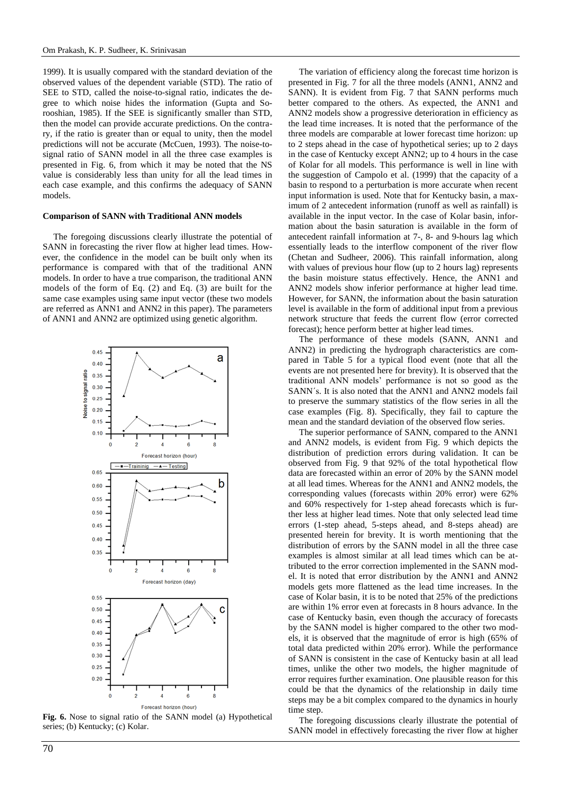1999). It is usually compared with the standard deviation of the observed values of the dependent variable (STD). The ratio of SEE to STD, called the noise-to-signal ratio, indicates the degree to which noise hides the information (Gupta and Sorooshian, 1985). If the SEE is significantly smaller than STD, then the model can provide accurate predictions. On the contrary, if the ratio is greater than or equal to unity, then the model predictions will not be accurate (McCuen, 1993). The noise-tosignal ratio of SANN model in all the three case examples is presented in Fig. 6, from which it may be noted that the NS value is considerably less than unity for all the lead times in each case example, and this confirms the adequacy of SANN models.

#### **Comparison of SANN with Traditional ANN models**

The foregoing discussions clearly illustrate the potential of SANN in forecasting the river flow at higher lead times. However, the confidence in the model can be built only when its performance is compared with that of the traditional ANN models. In order to have a true comparison, the traditional ANN models of the form of Eq. (2) and Eq. (3) are built for the same case examples using same input vector (these two models are referred as ANN1 and ANN2 in this paper). The parameters of ANN1 and ANN2 are optimized using genetic algorithm.



**Fig. 6.** Nose to signal ratio of the SANN model (a) Hypothetical series; (b) Kentucky; (c) Kolar.

70

The variation of efficiency along the forecast time horizon is presented in Fig. 7 for all the three models (ANN1, ANN2 and SANN). It is evident from Fig. 7 that SANN performs much better compared to the others. As expected, the ANN1 and ANN2 models show a progressive deterioration in efficiency as the lead time increases. It is noted that the performance of the three models are comparable at lower forecast time horizon: up to 2 steps ahead in the case of hypothetical series; up to 2 days in the case of Kentucky except ANN2; up to 4 hours in the case of Kolar for all models. This performance is well in line with the suggestion of Campolo et al. (1999) that the capacity of a basin to respond to a perturbation is more accurate when recent input information is used. Note that for Kentucky basin, a maximum of 2 antecedent information (runoff as well as rainfall) is available in the input vector. In the case of Kolar basin, information about the basin saturation is available in the form of antecedent rainfall information at 7-, 8- and 9-hours lag which essentially leads to the interflow component of the river flow (Chetan and Sudheer, 2006). This rainfall information, along with values of previous hour flow (up to 2 hours lag) represents the basin moisture status effectively. Hence, the ANN1 and ANN2 models show inferior performance at higher lead time. However, for SANN, the information about the basin saturation level is available in the form of additional input from a previous network structure that feeds the current flow (error corrected forecast); hence perform better at higher lead times.

The performance of these models (SANN, ANN1 and ANN2) in predicting the hydrograph characteristics are compared in Table 5 for a typical flood event (note that all the events are not presented here for brevity). It is observed that the traditional ANN models' performance is not so good as the SANN´s. It is also noted that the ANN1 and ANN2 models fail to preserve the summary statistics of the flow series in all the case examples (Fig. 8). Specifically, they fail to capture the mean and the standard deviation of the observed flow series.

The superior performance of SANN, compared to the ANN1 and ANN2 models, is evident from Fig. 9 which depicts the distribution of prediction errors during validation. It can be observed from Fig. 9 that 92% of the total hypothetical flow data are forecasted within an error of 20% by the SANN model at all lead times. Whereas for the ANN1 and ANN2 models, the corresponding values (forecasts within 20% error) were 62% and 60% respectively for 1-step ahead forecasts which is further less at higher lead times. Note that only selected lead time errors (1-step ahead, 5-steps ahead, and 8-steps ahead) are presented herein for brevity. It is worth mentioning that the distribution of errors by the SANN model in all the three case examples is almost similar at all lead times which can be attributed to the error correction implemented in the SANN model. It is noted that error distribution by the ANN1 and ANN2 models gets more flattened as the lead time increases. In the case of Kolar basin, it is to be noted that 25% of the predictions are within 1% error even at forecasts in 8 hours advance. In the case of Kentucky basin, even though the accuracy of forecasts by the SANN model is higher compared to the other two models, it is observed that the magnitude of error is high (65% of total data predicted within 20% error). While the performance of SANN is consistent in the case of Kentucky basin at all lead times, unlike the other two models, the higher magnitude of error requires further examination. One plausible reason for this could be that the dynamics of the relationship in daily time steps may be a bit complex compared to the dynamics in hourly time step.

The foregoing discussions clearly illustrate the potential of SANN model in effectively forecasting the river flow at higher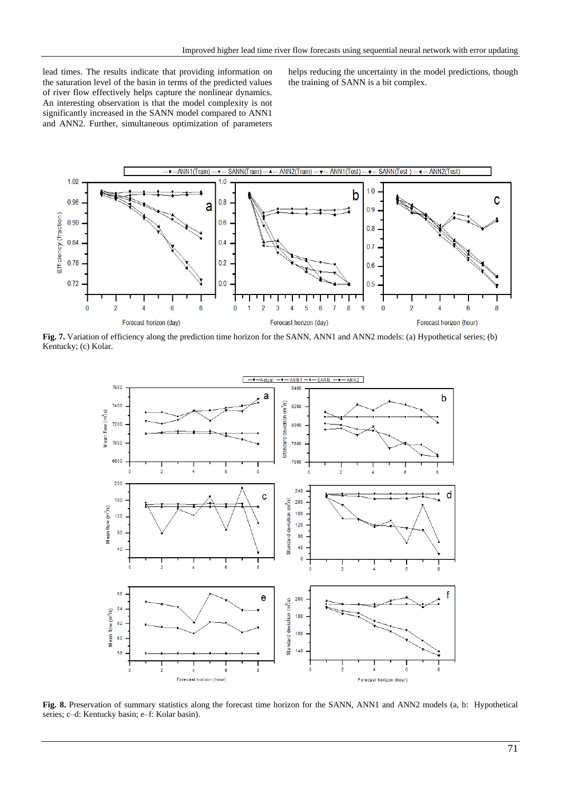lead times. The results indicate that providing information on the saturation level of the basin in terms of the predicted values of river flow effectively helps capture the nonlinear dynamics. An interesting observation is that the model complexity is not significantly increased in the SANN model compared to ANN1 and ANN2. Further, simultaneous optimization of parameters helps reducing the uncertainty in the model predictions, though the training of SANN is a bit complex.



**Fig. 7.** Variation of efficiency along the prediction time horizon for the SANN, ANN1 and ANN2 models: (a) Hypothetical series; (b) Kentucky; (c) Kolar.



**Fig. 8.** Preservation of summary statistics along the forecast time horizon for the SANN, ANN1 and ANN2 models (a, b: Hypothetical series; c–d: Kentucky basin; e–f: Kolar basin).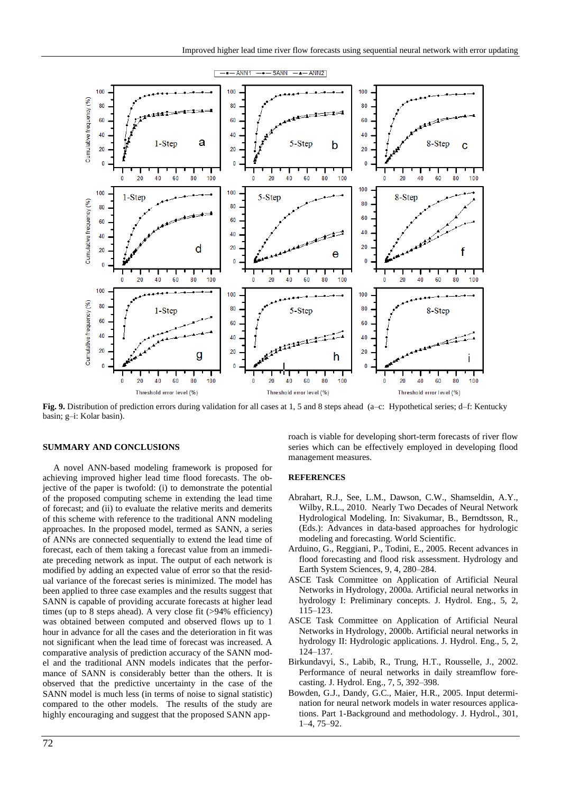

**Fig. 9.** Distribution of prediction errors during validation for all cases at 1, 5 and 8 steps ahead (a–c: Hypothetical series; d–f: Kentucky basin; g–i: Kolar basin).

#### **SUMMARY AND CONCLUSIONS**

A novel ANN-based modeling framework is proposed for achieving improved higher lead time flood forecasts. The objective of the paper is twofold: (i) to demonstrate the potential of the proposed computing scheme in extending the lead time of forecast; and (ii) to evaluate the relative merits and demerits of this scheme with reference to the traditional ANN modeling approaches. In the proposed model, termed as SANN, a series of ANNs are connected sequentially to extend the lead time of forecast, each of them taking a forecast value from an immediate preceding network as input. The output of each network is modified by adding an expected value of error so that the residual variance of the forecast series is minimized. The model has been applied to three case examples and the results suggest that SANN is capable of providing accurate forecasts at higher lead times (up to 8 steps ahead). A very close fit (>94% efficiency) was obtained between computed and observed flows up to 1 hour in advance for all the cases and the deterioration in fit was not significant when the lead time of forecast was increased. A comparative analysis of prediction accuracy of the SANN model and the traditional ANN models indicates that the performance of SANN is considerably better than the others. It is observed that the predictive uncertainty in the case of the SANN model is much less (in terms of noise to signal statistic) compared to the other models. The results of the study are highly encouraging and suggest that the proposed SANN approach is viable for developing short-term forecasts of river flow series which can be effectively employed in developing flood management measures.

# **REFERENCES**

- Abrahart, R.J., See, L.M., Dawson, C.W., Shamseldin, A.Y., Wilby, R.L., 2010. Nearly Two Decades of Neural Network Hydrological Modeling. In: Sivakumar, B., Berndtsson, R., (Eds.): Advances in data-based approaches for hydrologic modeling and forecasting. World Scientific.
- Arduino, G., Reggiani, P., Todini, E., 2005. Recent advances in flood forecasting and flood risk assessment. Hydrology and Earth System Sciences, 9, 4, 280–284.
- ASCE Task Committee on Application of Artificial Neural Networks in Hydrology, 2000a. Artificial neural networks in hydrology I: Preliminary concepts. J. Hydrol. Eng., 5, 2, 115–123.
- ASCE Task Committee on Application of Artificial Neural Networks in Hydrology, 2000b. Artificial neural networks in hydrology II: Hydrologic applications. J. Hydrol. Eng., 5, 2, 124–137.
- Birkundavyi, S., Labib, R., Trung, H.T., Rousselle, J., 2002. Performance of neural networks in daily streamflow forecasting. J. Hydrol. Eng., 7, 5, 392–398.
- Bowden, G.J., Dandy, G.C., Maier, H.R., 2005. Input determination for neural network models in water resources applications. Part 1-Background and methodology. J. Hydrol., 301, 1–4, 75–92.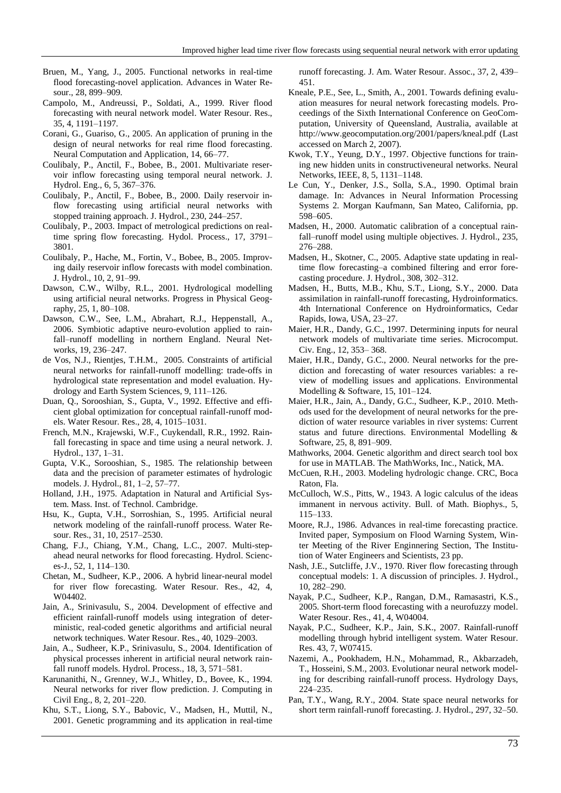- Bruen, M., Yang, J., 2005. Functional networks in real-time flood forecasting-novel application. Advances in Water Resour., 28, 899–909.
- Campolo, M., Andreussi, P., Soldati, A., 1999. River flood forecasting with neural network model. Water Resour. Res., 35, 4, 1191–1197.
- Corani, G., Guariso, G., 2005. An application of pruning in the design of neural networks for real rime flood forecasting. Neural Computation and Application, 14, 66–77.
- Coulibaly, P., Anctil, F., Bobee, B., 2001. Multivariate reservoir inflow forecasting using temporal neural network. J. Hydrol. Eng., 6, 5, 367–376.
- Coulibaly, P., Anctil, F., Bobee, B., 2000. Daily reservoir inflow forecasting using artificial neural networks with stopped training approach. J. Hydrol., 230, 244–257.
- Coulibaly, P., 2003. Impact of metrological predictions on realtime spring flow forecasting. Hydol. Process., 17, 3791– 3801.
- Coulibaly, P., Hache, M., Fortin, V., Bobee, B., 2005. Improving daily reservoir inflow forecasts with model combination. J. Hydrol., 10, 2, 91–99.
- Dawson, C.W., Wilby, R.L., 2001. Hydrological modelling using artificial neural networks. Progress in Physical Geography, 25, 1, 80–108.
- Dawson, C.W., See, L.M., Abrahart, R.J., Heppenstall, A., 2006. Symbiotic adaptive neuro-evolution applied to rainfall–runoff modelling in northern England. Neural Networks, 19, 236–247.
- de Vos, N.J., Rientjes, T.H.M., 2005. Constraints of artificial neural networks for rainfall-runoff modelling: trade-offs in hydrological state representation and model evaluation. Hydrology and Earth System Sciences, 9, 111–126.
- Duan, Q., Sorooshian, S., Gupta, V., 1992. Effective and efficient global optimization for conceptual rainfall-runoff models. Water Resour. Res., 28, 4, 1015–1031.
- French, M.N., Krajewski, W.F., Cuykendall, R.R., 1992. Rainfall forecasting in space and time using a neural network. J. Hydrol., 137, 1–31.
- Gupta, V.K., Sorooshian, S., 1985. The relationship between data and the precision of parameter estimates of hydrologic models. J. Hydrol., 81, 1–2, 57–77.
- Holland, J.H., 1975. Adaptation in Natural and Artificial System. Mass. Inst. of Technol. Cambridge.
- Hsu, K., Gupta, V.H., Sorroshian, S., 1995. Artificial neural network modeling of the rainfall-runoff process. Water Resour. Res., 31, 10, 2517–2530.
- Chang, F.J., Chiang, Y.M., Chang, L.C., 2007. Multi-stepahead neural networks for flood forecasting. Hydrol. Sciences-J., 52, 1, 114–130.
- Chetan, M., Sudheer, K.P., 2006. A hybrid linear-neural model for river flow forecasting. Water Resour. Res., 42, 4, W04402.
- Jain, A., Srinivasulu, S., 2004. Development of effective and efficient rainfall-runoff models using integration of deterministic, real-coded genetic algorithms and artificial neural network techniques. Water Resour. Res., 40, 1029–2003.
- Jain, A., Sudheer, K.P., Srinivasulu, S., 2004. Identification of physical processes inherent in artificial neural network rainfall runoff models. Hydrol. Process., 18, 3, 571–581.
- Karunanithi, N., Grenney, W.J., Whitley, D., Bovee, K., 1994. Neural networks for river flow prediction. J. Computing in Civil Eng., 8, 2, 201–220.
- Khu, S.T., Liong, S.Y., Babovic, V., Madsen, H., Muttil, N., 2001. Genetic programming and its application in real-time

runoff forecasting. J. Am. Water Resour. Assoc., 37, 2, 439– 451.

- Kneale, P.E., See, L., Smith, A., 2001. Towards defining evaluation measures for neural network forecasting models. Proceedings of the Sixth International Conference on GeoComputation, University of Queensland, Australia, available at http://www.geocomputation.org/2001/papers/kneal.pdf (Last accessed on March 2, 2007).
- Kwok, T.Y., Yeung, D.Y., 1997. Objective functions for training new hidden units in constructiveneural networks. Neural Networks, IEEE, 8, 5, 1131–1148.
- Le Cun, Y., Denker, J.S., Solla, S.A., 1990. Optimal brain damage. In: Advances in Neural Information Processing Systems 2. Morgan Kaufmann, San Mateo, California, pp. 598–605.
- Madsen, H., 2000. Automatic calibration of a conceptual rainfall–runoff model using multiple objectives. J. Hydrol., 235, 276–288.
- Madsen, H., Skotner, C., 2005. Adaptive state updating in realtime flow forecasting–a combined filtering and error forecasting procedure. J. Hydrol., 308, 302–312.
- Madsen, H., Butts, M.B., Khu, S.T., Liong, S.Y., 2000. Data assimilation in rainfall-runoff forecasting, Hydroinformatics. 4th International Conference on Hydroinformatics, Cedar Rapids, Iowa, USA, 23–27.
- Maier, H.R., Dandy, G.C., 1997. Determining inputs for neural network models of multivariate time series. Microcomput. Civ. Eng., 12, 353– 368.
- Maier, H.R., Dandy, G.C., 2000. Neural networks for the prediction and forecasting of water resources variables: a review of modelling issues and applications. Environmental Modelling & Software, 15, 101–124.
- Maier, H.R., Jain, A., Dandy, G.C., Sudheer, K.P., 2010. Methods used for the development of neural networks for the prediction of water resource variables in river systems: Current status and future directions. Environmental Modelling & Software, 25, 8, 891–909.
- Mathworks, 2004. Genetic algorithm and direct search tool box for use in MATLAB. The MathWorks, Inc., Natick, MA.
- McCuen, R.H., 2003. Modeling hydrologic change. CRC, Boca Raton, Fla.
- McCulloch, W.S., Pitts, W., 1943. A logic calculus of the ideas immanent in nervous activity. Bull. of Math. Biophys., 5, 115–133.
- Moore, R.J., 1986. Advances in real-time forecasting practice. Invited paper, Symposium on Flood Warning System, Winter Meeting of the River Enginnering Section, The Institution of Water Engineers and Scientists, 23 pp.
- Nash, J.E., Sutcliffe, J.V., 1970. River flow forecasting through conceptual models: 1. A discussion of principles. J. Hydrol., 10, 282–290.
- Nayak, P.C., Sudheer, K.P., Rangan, D.M., Ramasastri, K.S., 2005. Short-term flood forecasting with a neurofuzzy model. Water Resour. Res., 41, 4, W04004.
- Nayak, P.C., Sudheer, K.P., Jain, S.K., 2007. Rainfall-runoff modelling through hybrid intelligent system. Water Resour. Res. 43, 7, W07415.
- Nazemi, A., Pookhadem, H.N., Mohammad, R., Akbarzadeh, T., Hosseini, S.M., 2003. Evolutionar neural network modeling for describing rainfall-runoff process. Hydrology Days, 224–235.
- Pan, T.Y., Wang, R.Y., 2004. State space neural networks for short term rainfall-runoff forecasting. J. Hydrol., 297, 32–50.